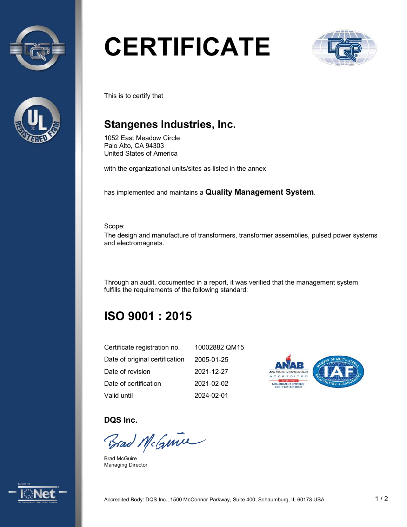



# **CERTIFICATE**



This is to certify that

## **Stangenes Industries, Inc.**

1052 East Meadow Circle Palo Alto, CA 94303 United States of America

with the organizational units/sites as listed in the annex

has implemented and maintains a **Quality Management System**.

Scope:

The design and manufacture of transformers, transformer assemblies, pulsed power systems and electromagnets.

Through an audit, documented in a report, it was verified that the management system fulfills the requirements of the following standard:

# **ISO 9001 : 2015**

| Certificate registration no.   | 10002882 QM15 |
|--------------------------------|---------------|
| Date of original certification | 2005-01-25    |
| Date of revision               | 2021-12-27    |
| Date of certification          | 2021-02-02    |
| Valid until                    | 2024-02-01    |



**DQS Inc.** 

Brad McGuine

Brad McGuire Managing Director